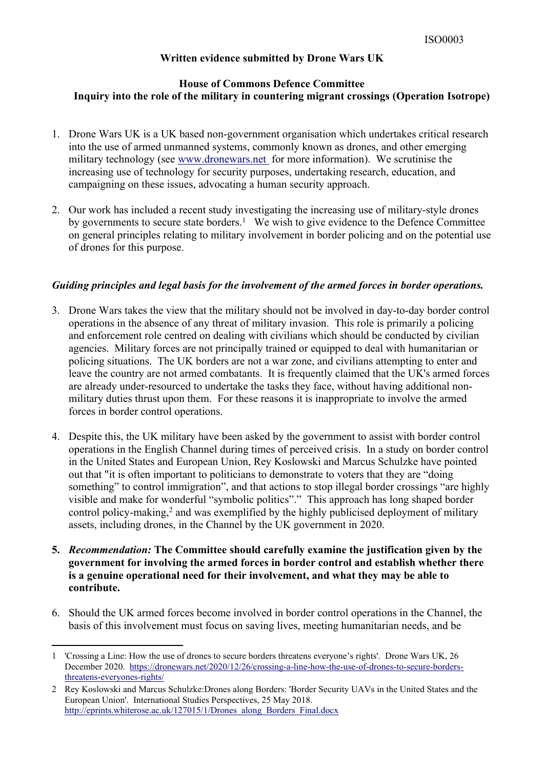## **Written evidence submitted by Drone Wars UK**

# **House of Commons Defence Committee Inquiry into the role of the military in countering migrant crossings (Operation Isotrope)**

- 1. Drone Wars UK is a UK based non-government organisation which undertakes critical research into the use of armed unmanned systems, commonly known as drones, and other emerging military technology (see [www.dronewars.net](http://www.dronewars.net/) for more information). We scrutinise the increasing use of technology for security purposes, undertaking research, education, and campaigning on these issues, advocating a human security approach.
- 2. Our work has included a recent study investigating the increasing use of military-style drones by governments to secure state borders.<sup>1</sup> We wish to give evidence to the Defence Committee on general principles relating to military involvement in border policing and on the potential use of drones for this purpose.

### *Guiding principles and legal basis for the involvement of the armed forces in border operations.*

- 3. Drone Wars takes the view that the military should not be involved in day-to-day border control operations in the absence of any threat of military invasion. This role is primarily a policing and enforcement role centred on dealing with civilians which should be conducted by civilian agencies. Military forces are not principally trained or equipped to deal with humanitarian or policing situations. The UK borders are not a war zone, and civilians attempting to enter and leave the country are not armed combatants. It is frequently claimed that the UK's armed forces are already under-resourced to undertake the tasks they face, without having additional nonmilitary duties thrust upon them. For these reasons it is inappropriate to involve the armed forces in border control operations.
- 4. Despite this, the UK military have been asked by the government to assist with border control operations in the English Channel during times of perceived crisis. In a study on border control in the United States and European Union, Rey Koslowski and Marcus Schulzke have pointed out that "it is often important to politicians to demonstrate to voters that they are "doing something" to control immigration", and that actions to stop illegal border crossings "are highly visible and make for wonderful "symbolic politics"." This approach has long shaped border control policy-making,<sup>2</sup> and was exemplified by the highly publicised deployment of military assets, including drones, in the Channel by the UK government in 2020.
- **5.** *Recommendation:* **The Committee should carefully examine the justification given by the government for involving the armed forces in border control and establish whether there is a genuine operational need for their involvement, and what they may be able to contribute.**
- 6. Should the UK armed forces become involved in border control operations in the Channel, the basis of this involvement must focus on saving lives, meeting humanitarian needs, and be

<sup>1</sup> 'Crossing a Line: How the use of drones to secure borders threatens everyone's rights'. Drone Wars UK, 26 December 2020. [https://dronewars.net/2020/12/26/crossing-a-line-how-the-use-of-drones-to-secure-borders](https://dronewars.net/2020/12/26/crossing-a-line-how-the-use-of-drones-to-secure-borders-threatens-everyones-rights/)[threatens-everyones-rights/](https://dronewars.net/2020/12/26/crossing-a-line-how-the-use-of-drones-to-secure-borders-threatens-everyones-rights/)

<sup>2</sup> Rey Koslowski and Marcus Schulzke:Drones along Borders: 'Border Security UAVs in the United States and the European Union'. International Studies Perspectives, 25 May 2018. [http://eprints.whiterose.ac.uk/127015/1/Drones\\_along\\_Borders\\_Final.docx](http://eprints.whiterose.ac.uk/127015/1/Drones_along_Borders_Final.docx)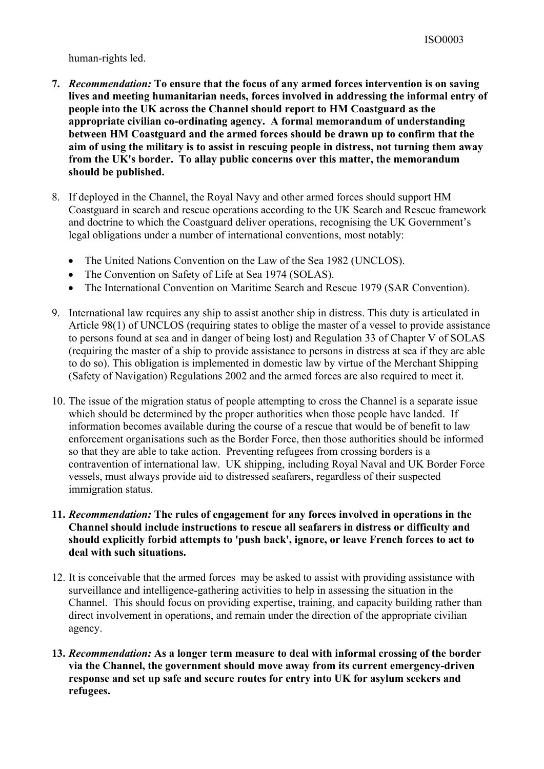### human-rights led.

- **7.** *Recommendation:* **To ensure that the focus of any armed forces intervention is on saving lives and meeting humanitarian needs, forces involved in addressing the informal entry of people into the UK across the Channel should report to HM Coastguard as the appropriate civilian co-ordinating agency. A formal memorandum of understanding between HM Coastguard and the armed forces should be drawn up to confirm that the aim of using the military is to assist in rescuing people in distress, not turning them away from the UK's border. To allay public concerns over this matter, the memorandum should be published.**
- 8. If deployed in the Channel, the Royal Navy and other armed forces should support HM Coastguard in search and rescue operations according to the UK Search and Rescue framework and doctrine to which the Coastguard deliver operations, recognising the UK Government's legal obligations under a number of international conventions, most notably:
	- The United Nations Convention on the Law of the Sea 1982 (UNCLOS).
	- The Convention on Safety of Life at Sea 1974 (SOLAS).
	- The International Convention on Maritime Search and Rescue 1979 (SAR Convention).
- 9. International law requires any ship to assist another ship in distress. This duty is articulated in Article 98(1) of UNCLOS (requiring states to oblige the master of a vessel to provide assistance to persons found at sea and in danger of being lost) and Regulation 33 of Chapter V of SOLAS (requiring the master of a ship to provide assistance to persons in distress at sea if they are able to do so). This obligation is implemented in domestic law by virtue of the Merchant Shipping (Safety of Navigation) Regulations 2002 and the armed forces are also required to meet it.
- 10. The issue of the migration status of people attempting to cross the Channel is a separate issue which should be determined by the proper authorities when those people have landed. If information becomes available during the course of a rescue that would be of benefit to law enforcement organisations such as the Border Force, then those authorities should be informed so that they are able to take action. Preventing refugees from crossing borders is a contravention of international law. UK shipping, including Royal Naval and UK Border Force vessels, must always provide aid to distressed seafarers, regardless of their suspected immigration status.
- **11.** *Recommendation:* **The rules of engagement for any forces involved in operations in the Channel should include instructions to rescue all seafarers in distress or difficulty and should explicitly forbid attempts to 'push back', ignore, or leave French forces to act to deal with such situations.**
- 12. It is conceivable that the armed forces may be asked to assist with providing assistance with surveillance and intelligence-gathering activities to help in assessing the situation in the Channel. This should focus on providing expertise, training, and capacity building rather than direct involvement in operations, and remain under the direction of the appropriate civilian agency.
- **13.** *Recommendation:* **As a longer term measure to deal with informal crossing of the border via the Channel, the government should move away from its current emergency-driven response and set up safe and secure routes for entry into UK for asylum seekers and refugees.**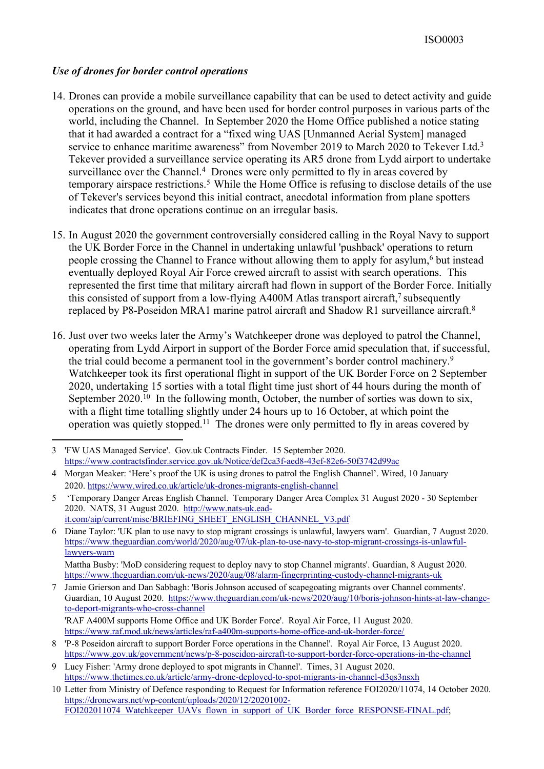## *Use of drones for border control operations*

- 14. Drones can provide a mobile surveillance capability that can be used to detect activity and guide operations on the ground, and have been used for border control purposes in various parts of the world, including the Channel. In September 2020 the Home Office published a notice stating that it had awarded a contract for a "fixed wing UAS [Unmanned Aerial System] managed service to enhance maritime awareness" from November 2019 to March 2020 to Tekever Ltd. $3$ Tekever provided a surveillance service operating its AR5 drone from Lydd airport to undertake surveillance over the Channel.<sup>4</sup> Drones were only permitted to fly in areas covered by temporary airspace restrictions.<sup>5</sup> While the Home Office is refusing to disclose details of the use of Tekever's services beyond this initial contract, anecdotal information from plane spotters indicates that drone operations continue on an irregular basis.
- 15. In August 2020 the government controversially considered calling in the Royal Navy to support the UK Border Force in the Channel in undertaking unlawful 'pushback' operations to return people crossing the Channel to France without allowing them to apply for asylum,<sup>6</sup> but instead eventually deployed Royal Air Force crewed aircraft to assist with search operations. This represented the first time that military aircraft had flown in support of the Border Force. Initially this consisted of support from a low-flying A400M Atlas transport aircraft,<sup>7</sup> subsequently replaced by P8-Poseidon MRA1 marine patrol aircraft and Shadow R1 surveillance aircraft.<sup>8</sup>
- 16. Just over two weeks later the Army's Watchkeeper drone was deployed to patrol the Channel, operating from Lydd Airport in support of the Border Force amid speculation that, if successful, the trial could become a permanent tool in the government's border control machinery.<sup>9</sup> Watchkeeper took its first operational flight in support of the UK Border Force on 2 September 2020, undertaking 15 sorties with a total flight time just short of 44 hours during the month of September 2020.<sup>10</sup> In the following month, October, the number of sorties was down to six, with a flight time totalling slightly under 24 hours up to 16 October, at which point the operation was quietly stopped.<sup>11</sup> The drones were only permitted to fly in areas covered by

<sup>3</sup> 'FW UAS Managed Service'. Gov.uk Contracts Finder. 15 September 2020. <https://www.contractsfinder.service.gov.uk/Notice/def2ca3f-aed8-43ef-82e6-50f3742d99ac>

<sup>4</sup> Morgan Meaker: 'Here's proof the UK is using drones to patrol the English Channel'. Wired, 10 January 2020. <https://www.wired.co.uk/article/uk-drones-migrants-english-channel>

<sup>5</sup> 'Temporary Danger Areas English Channel. Temporary Danger Area Complex 31 August 2020 - 30 September 2020. NATS, 31 August 2020. [http://www.nats-uk.ead](http://www.nats-uk.ead-it.com/aip/current/misc/BRIEFING_SHEET_ENGLISH_CHANNEL_V3.pdf)[it.com/aip/current/misc/BRIEFING\\_SHEET\\_ENGLISH\\_CHANNEL\\_V3.pdf](http://www.nats-uk.ead-it.com/aip/current/misc/BRIEFING_SHEET_ENGLISH_CHANNEL_V3.pdf)

<sup>6</sup> Diane Taylor: 'UK plan to use navy to stop migrant crossings is unlawful, lawyers warn'. Guardian, 7 August 2020. [https://www.theguardian.com/world/2020/aug/07/uk-plan-to-use-navy-to-stop-migrant-crossings-is-unlawful](https://www.theguardian.com/world/2020/aug/07/uk-plan-to-use-navy-to-stop-migrant-crossings-is-unlawful-lawyers-warn)[lawyers-warn](https://www.theguardian.com/world/2020/aug/07/uk-plan-to-use-navy-to-stop-migrant-crossings-is-unlawful-lawyers-warn)

Mattha Busby: 'MoD considering request to deploy navy to stop Channel migrants'. Guardian, 8 August 2020. <https://www.theguardian.com/uk-news/2020/aug/08/alarm-fingerprinting-custody-channel-migrants-uk>

<sup>7</sup> Jamie Grierson and Dan Sabbagh: 'Boris Johnson accused of scapegoating migrants over Channel comments'. Guardian, 10 August 2020. [https://www.theguardian.com/uk-news/2020/aug/10/boris-johnson-hints-at-law-change](https://www.theguardian.com/uk-news/2020/aug/10/boris-johnson-hints-at-law-change-to-deport-migrants-who-cross-channel)[to-deport-migrants-who-cross-channel](https://www.theguardian.com/uk-news/2020/aug/10/boris-johnson-hints-at-law-change-to-deport-migrants-who-cross-channel)

<sup>&#</sup>x27;RAF A400M supports Home Office and UK Border Force'. Royal Air Force, 11 August 2020. <https://www.raf.mod.uk/news/articles/raf-a400m-supports-home-office-and-uk-border-force/>

<sup>8</sup> 'P-8 Poseidon aircraft to support Border Force operations in the Channel'. Royal Air Force, 13 August 2020. <https://www.gov.uk/government/news/p-8-poseidon-aircraft-to-support-border-force-operations-in-the-channel>

<sup>9</sup> Lucy Fisher: 'Army drone deployed to spot migrants in Channel'. Times, 31 August 2020. <https://www.thetimes.co.uk/article/army-drone-deployed-to-spot-migrants-in-channel-d3qs3nsxh>

<sup>10</sup> Letter from Ministry of Defence responding to Request for Information reference FOI2020/11074, 14 October 2020. [https://dronewars.net/wp-content/uploads/2020/12/20201002-](https://dronewars.net/wp-content/uploads/2020/12/20201002-FOI202011074_Watchkeeper_UAVs_flown_in_support_of_UK_Border_force_RESPONSE-FINAL.pdf) [FOI202011074\\_Watchkeeper\\_UAVs\\_flown\\_in\\_support\\_of\\_UK\\_Border\\_force\\_RESPONSE-FINAL.pdf;](https://dronewars.net/wp-content/uploads/2020/12/20201002-FOI202011074_Watchkeeper_UAVs_flown_in_support_of_UK_Border_force_RESPONSE-FINAL.pdf)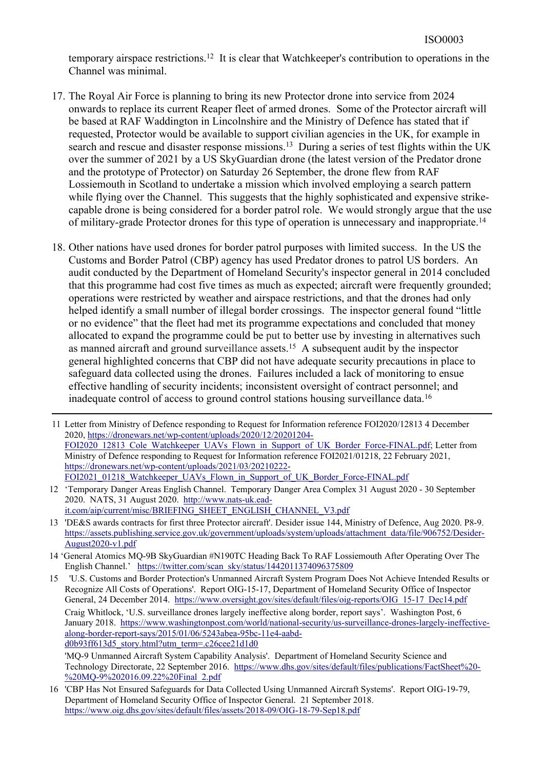temporary airspace restrictions.<sup>12</sup> It is clear that Watchkeeper's contribution to operations in the Channel was minimal.

- 17. The Royal Air Force is planning to bring its new Protector drone into service from 2024 onwards to replace its current Reaper fleet of armed drones. Some of the Protector aircraft will be based at RAF Waddington in Lincolnshire and the Ministry of Defence has stated that if requested, Protector would be available to support civilian agencies in the UK, for example in search and rescue and disaster response missions.<sup>13</sup> During a series of test flights within the UK over the summer of 2021 by a US SkyGuardian drone (the latest version of the Predator drone and the prototype of Protector) on Saturday 26 September, the drone flew from RAF Lossiemouth in Scotland to undertake a mission which involved employing a search pattern while flying over the Channel. This suggests that the highly sophisticated and expensive strikecapable drone is being considered for a border patrol role. We would strongly argue that the use of military-grade Protector drones for this type of operation is unnecessary and inappropriate.<sup>14</sup>
- 18. Other nations have used drones for border patrol purposes with limited success. In the US the Customs and Border Patrol (CBP) agency has used Predator drones to patrol US borders. An audit conducted by the Department of Homeland Security's inspector general in 2014 concluded that this programme had cost five times as much as expected; aircraft were frequently grounded; operations were restricted by weather and airspace restrictions, and that the drones had only helped identify a small number of illegal border crossings. The inspector general found "little or no evidence" that the fleet had met its programme expectations and concluded that money allocated to expand the programme could be put to better use by investing in alternatives such as manned aircraft and ground surveillance assets. 15 A subsequent audit by the inspector general highlighted concerns that CBP did not have adequate security precautions in place to safeguard data collected using the drones. Failures included a lack of monitoring to ensue effective handling of security incidents; inconsistent oversight of contract personnel; and inadequate control of access to ground control stations housing surveillance data.<sup>16</sup>
- 11 Letter from Ministry of Defence responding to Request for Information reference FOI2020/12813 4 December 2020, [https://dronewars.net/wp-content/uploads/2020/12/20201204-](https://dronewars.net/wp-content/uploads/2020/12/20201204-FOI2020_12813_Cole_Watchkeeper_UAVs_Flown_in_Support_of_UK_Border_Force-FINAL.pdf) [FOI2020\\_12813\\_Cole\\_Watchkeeper\\_UAVs\\_Flown\\_in\\_Support\\_of\\_UK\\_Border\\_Force-FINAL.pdf;](https://dronewars.net/wp-content/uploads/2020/12/20201204-FOI2020_12813_Cole_Watchkeeper_UAVs_Flown_in_Support_of_UK_Border_Force-FINAL.pdf) Letter from Ministry of Defence responding to Request for Information reference FOI2021/01218, 22 February 2021, [https://dronewars.net/wp-content/uploads/2021/03/20210222-](https://dronewars.net/wp-content/uploads/2021/03/20210222-FOI2021_01218_Watchkeeper_UAVs_Flown_in_Support_of_UK_Border_Force-FINAL.pdf) [FOI2021\\_01218\\_Watchkeeper\\_UAVs\\_Flown\\_in\\_Support\\_of\\_UK\\_Border\\_Force-FINAL.pdf](https://dronewars.net/wp-content/uploads/2021/03/20210222-FOI2021_01218_Watchkeeper_UAVs_Flown_in_Support_of_UK_Border_Force-FINAL.pdf)
- 12 'Temporary Danger Areas English Channel. Temporary Danger Area Complex 31 August 2020 30 September 2020. NATS, 31 August 2020. [http://www.nats-uk.ead](http://www.nats-uk.ead-it.com/aip/current/misc/BRIEFING_SHEET_ENGLISH_CHANNEL_V3.pdf)[it.com/aip/current/misc/BRIEFING\\_SHEET\\_ENGLISH\\_CHANNEL\\_V3.pdf](http://www.nats-uk.ead-it.com/aip/current/misc/BRIEFING_SHEET_ENGLISH_CHANNEL_V3.pdf)
- 13 'DE&S awards contracts for first three Protector aircraft'. Desider issue 144, Ministry of Defence, Aug 2020. P8-9. [https://assets.publishing.service.gov.uk/government/uploads/system/uploads/attachment\\_data/file/906752/Desider-](https://assets.publishing.service.gov.uk/government/uploads/system/uploads/attachment_data/file/906752/Desider-August2020-v1.pdf)[August2020-v1.pdf](https://assets.publishing.service.gov.uk/government/uploads/system/uploads/attachment_data/file/906752/Desider-August2020-v1.pdf)
- 14 'General Atomics MQ-9B SkyGuardian #N190TC Heading Back To RAF Lossiemouth After Operating Over The English Channel.' [https://twitter.com/scan\\_sky/status/1442011374096375809](https://twitter.com/scan_sky/status/1442011374096375809)

15 'U.S. Customs and Border Protection's Unmanned Aircraft System Program Does Not Achieve Intended Results or Recognize All Costs of Operations'. Report OIG-15-17, Department of Homeland Security Office of Inspector General, 24 December 2014. [https://www.oversight.gov/sites/default/files/oig-reports/OIG\\_15-17\\_Dec14.pdf](https://www.oversight.gov/sites/default/files/oig-reports/OIG_15-17_Dec14.pdf) Craig Whitlock, 'U.S. surveillance drones largely ineffective along border, report says'. Washington Post, 6 January 2018. [https://www.washingtonpost.com/world/national-security/us-surveillance-drones-largely-ineffective](https://www.washingtonpost.com/world/national-security/us-surveillance-drones-largely-ineffective-along-border-report-says/2015)[along-border-report-says/2015/01/06/5243abea-95bc-11e4-aabd](https://www.washingtonpost.com/world/national-security/us-surveillance-drones-largely-ineffective-along-border-report-says/2015)[d0b93ff613d5\\_story.html?utm\\_term=.c26cee21d1d0](https://www.washingtonpost.com/world/national-security/us-surveillance-drones-largely-ineffective-along-border-report-says/2015)

'MQ-9 Unmanned Aircraft System Capability Analysis'. Department of Homeland Security Science and Technology Directorate, 22 September 2016. [https://www.dhs.gov/sites/default/files/publications/FactSheet%20-](https://www.dhs.gov/sites/default/files/publications/FactSheet%20-%20MQ-9%202016.09.22%20Final_2.pdf) [%20MQ-9%202016.09.22%20Final\\_2.pdf](https://www.dhs.gov/sites/default/files/publications/FactSheet%20-%20MQ-9%202016.09.22%20Final_2.pdf)

16 'CBP Has Not Ensured Safeguards for Data Collected Using Unmanned Aircraft Systems'. Report OIG-19-79, Department of Homeland Security Office of Inspector General. 21 September 2018. <https://www.oig.dhs.gov/sites/default/files/assets/2018-09/OIG-18-79-Sep18.pdf>